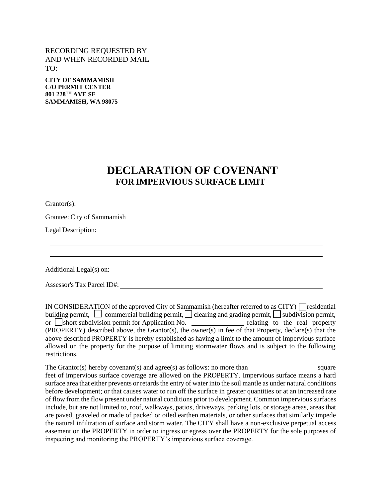## RECORDING REQUESTED BY AND WHEN RECORDED MAIL TO:

**CITY OF SAMMAMISH C/O PERMIT CENTER 801 228TH AVE SE SAMMAMISH, WA 98075**

## **DECLARATION OF COVENANT FOR IMPERVIOUS SURFACE LIMIT**

Grantor(s):

Grantee: City of Sammamish

Legal Description:

Additional Legal(s) on:

Assessor's Tax Parcel ID#:

IN CONSIDERATION of the approved City of Sammamish (hereafter referred to as CITY)  $\Box$  residential building permit,  $\Box$  commercial building permit,  $\Box$  clearing and grading permit,  $\Box$  subdivision permit, or  $\Box$ short subdivision permit for Application No.  $\Box$  relating to the real property (PROPERTY) described above, the Grantor(s), the owner(s) in fee of that Property, declare(s) that the above described PROPERTY is hereby established as having a limit to the amount of impervious surface allowed on the property for the purpose of limiting stormwater flows and is subject to the following restrictions.

The Grantor(s) hereby covenant(s) and agree(s) as follows: no more than  $\Box$  square feet of impervious surface coverage are allowed on the PROPERTY. Impervious surface means a hard surface area that either prevents or retards the entry of water into the soil mantle as under natural conditions before development; or that causes water to run off the surface in greater quantities or at an increased rate of flow from the flow present under natural conditions prior to development. Common impervious surfaces include, but are not limited to, roof, walkways, patios, driveways, parking lots, or storage areas, areas that are paved, graveled or made of packed or oiled earthen materials, or other surfaces that similarly impede the natural infiltration of surface and storm water. The CITY shall have a non-exclusive perpetual access easement on the PROPERTY in order to ingress or egress over the PROPERTY for the sole purposes of inspecting and monitoring the PROPERTY's impervious surface coverage.